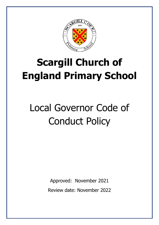

# **Scargill Church of England Primary School**

# Local Governor Code of Conduct Policy

Approved: November 2021 Review date: November 2022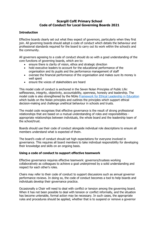### **Scargill CofE Primary School Code of Conduct for Local Governing Boards 2021**

#### **Introduction**

Effective boards clearly set out what they expect of governors, particularly when they first join. All governing boards should adopt a code of conduct which details the behaviour and professional standards required for the board to carry out its work within the school/s and the community.

All governors agreeing to a code of conduct should do so with a good understanding of the core functions of governing boards, which are to:

- ensure there is clarity of vision, ethos and strategic direction
- hold executive leaders to account for the educational performance of the organisation and its pupils and the performance management of staff
- oversee the financial performance of the organisation and makes sure its money is well spent
- ensure the voices of stakeholders are heard

This model code of conduct is anchored in the Seven Nolan Principles of Public Life: selflessness, integrity, objectivity, accountability, openness, honesty and leadership. The model code is also strengthened by the NGAs [Framework for Ethical Leadership in Education](https://www.nga.org.uk/Knowledge-Centre/Good-governance/Ethical-governance/Framework-for-Ethical-Leadership-in-Education.aspx) which builds on the Nolan principles and outlines the principles which support ethical decision-making and challenge unethical behaviour in schools and trusts.

The model code recognises that effective governance is the result of strong professional relationships that are based on a mutual understanding of roles and responsibilities appropriate relationships between individuals, the whole board and the leadership team of the school/trust.

Boards should use their code of conduct alongside individual role descriptions to ensure all members understand what is expected of them.

The board's code of conduct should set high expectations for everyone involved in governance. This requires all board members to take individual responsibility for developing their knowledge and skills on an ongoing basis.

#### **Using a code of conduct to support effective teamwork**

Effective governance requires effective teamwork: governors/trustees working collaboratively as colleagues to achieve a goal underpinned by a solid understanding and respect for each other's roles.

Chairs may refer to their code of conduct to support discussions such as annual governor performance reviews. In doing so, the code of conduct becomes a tool to help boards and individuals develop their governance practice.

Occasionally a Chair will need to deal with conflict or tension among the governing board. When it has not been possible to deal with tension or conflict informally, and the situation has become untenable, formal action may be necessary. In such cases, the appropriate rules and procedures should be applied, whether that is to suspend or remove a governor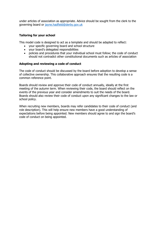under articles of association as appropriate. Advice should be sought from the clerk to the governing board or [jayne.hadfield@derby.gov.uk](mailto:jayne.hadfield@derby.gov.uk)

#### **Tailoring for your school**

This model code is designed to act as a template and should be adapted to reflect:

- your specific governing board and school structure
- your board's delegated responsibilities
- policies and procedures that your individual school must follow; the code of conduct should not contradict other constitutional documents such as articles of association

#### **Adopting and reviewing a code of conduct**

The code of conduct should be discussed by the board before adoption to develop a sense of collective ownership. This collaborative approach ensures that the resulting code is a common reference point.

Boards should review and approve their code of conduct annually, ideally at the first meeting of the autumn term. When reviewing their code, the board should reflect on the events of the previous year and consider amendments to suit the needs of the board. Boards should also review their code of conduct upon any significant changes to the law or school policy.

When recruiting new members, boards may refer candidates to their code of conduct (and role description). This will help ensure new members have a good understanding of expectations before being appointed. New members should agree to and sign the board's code of conduct on being appointed.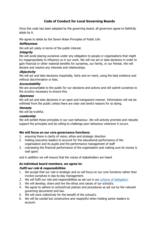# **Code of Conduct for Local Governing Boards**

Once this code has been adopted by the governing board, all governors agree to faithfully abide by it.

We agree to abide by the Seven Nolan Principles of Public Life:

#### **Selflessness**

We will act solely in terms of the public interest.

### **Integrity**

We will avoid placing ourselves under any obligation to people or organisations that might try inappropriately to influence us in our work. We will not act or take decisions in order to gain financial or other material benefits for ourselves, our family, or our friends. We will declare and resolve any interests and relationships.

### **Objectivity**

We will act and take decisions impartially, fairly and on merit, using the best evidence and without discrimination or bias.

#### **Accountability**

We are accountable to the public for our decisions and actions and will submit ourselves to the scrutiny necessary to ensure this.

#### **Openness**

We will act and take decisions in an open and transparent manner. Information will not be withheld from the public unless there are clear and lawful reasons for so doing.

#### **Honesty**

We will be truthful.

#### **Leadership**

We will exhibit these principles in our own behaviour. We will actively promote and robustly support the principles and be willing to challenge poor behaviour wherever it occurs.

#### **We will focus on our core governance functions:**

- 1. ensuring there is clarity of vision, ethos and strategic direction
- 2. holding executive leaders to account for the educational performance of the organisation and its pupils and the performance management of staff
- 3. overseeing the financial performance of the organisation and making sure its money is well spent

and in addition we will ensure that the voices of stakeholders are heard

# **As individual board members, we agree to:**

#### **Fulfil our role & responsibilities**

- 1. We accept that our role is strategic and so will focus on our core functions rather than involve ourselves in day-to-day management.
- 2. We will fulfil our role and responsibilities as set out in our [scheme of delegation.](https://www.nga.org.uk/Knowledge-Centre/Governance-structure-roles-and-responsibilities/Academy-trusts/Scheme-of-delegation.aspx)
- 3. We will develop, share and live the ethos and values of our school/s.
- 4. We agree to adhere to school/trust policies and procedures as set out by the relevant governing documents and law.
- 5. We will work collectively for the benefit of the school/s.
- 6. We will be candid but constructive and respectful when holding senior leaders to account.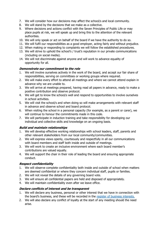- 7. We will consider how our decisions may affect the school/s and local community.
- 8. We will stand by the decisions that we make as a collective.
- 9. Where decisions and actions conflict with the Seven Principles of Public Life or may place pupils at risk, we will speak up and bring this to the attention of the relevant authorities.
- 10. We will only speak or act on behalf of the board if we have the authority to do so.
- 11. We will fulfil our responsibilities as a good employer, acting fairly and without prejudice.
- 12. When making or responding to complaints we will follow the established procedures.
- 13. We will strive to uphold the school's / trust's reputation in our private communications (including on social media).
- 14. We will not discriminate against anyone and will work to advance equality of opportunity for all.

# **Demonstrate our commitment to the role**

- 1. We will involve ourselves actively in the work of the board, and accept our fair share of responsibilities, serving on committees or working groups where required.
- 2. We will make every effort to attend all meetings and where we cannot attend explain in advance why we are unable to.
- 3. We will arrive at meetings prepared, having read all papers in advance, ready to make a positive contribution and observe protocol.
- 4. We will get to know the school/s well and respond to opportunities to involve ourselves in school activities.
- 5. We will visit the school/s and when doing so will make arrangements with relevant staff in advance and observe school and board protocol.
- 6. When visiting the school in a personal capacity (for example, as a parent or carer), we will continue to honour the commitments made in this code.
- 7. We will participate in induction training and take responsibility for developing our individual and collective skills and knowledge on an ongoing basis.

# **Build and maintain relationships**

- 1. We will develop effective working relationships with school leaders, staff, parents and other relevant stakeholders from our local community/communities.
- 2. We will express views openly, courteously and respectfully in all our communications with board members and staff both inside and outside of meetings.
- 3. We will work to create an inclusive environment where each board member's contributions are valued equally.
- 4. We will support the chair in their role of leading the board and ensuring appropriate conduct.

# **Respect confidentiality**

- 1. We will observe complete confidentiality both inside and outside of school when matters are deemed confidential or where they concern individual staff, pupils or families.
- 2. We will not reveal the details of any governing board vote.
- 3. We will ensure all confidential papers are held and disposed of appropriately.
- 4. We will maintain confidentiality even after we leave office.

# **Declare conflicts of interest and be transparent**

- 1. We will declare any business, personal or other interest that we have in connection with the board's business, and these will be recorded in the [register of business interests.](https://www.nga.org.uk/Knowledge-Centre/Compliance/Policies-and-procedures/Declaration-and-register-of-interests-forms.aspx)
- 2. We will also declare any conflict of loyalty at the start of any meeting should the need arise.